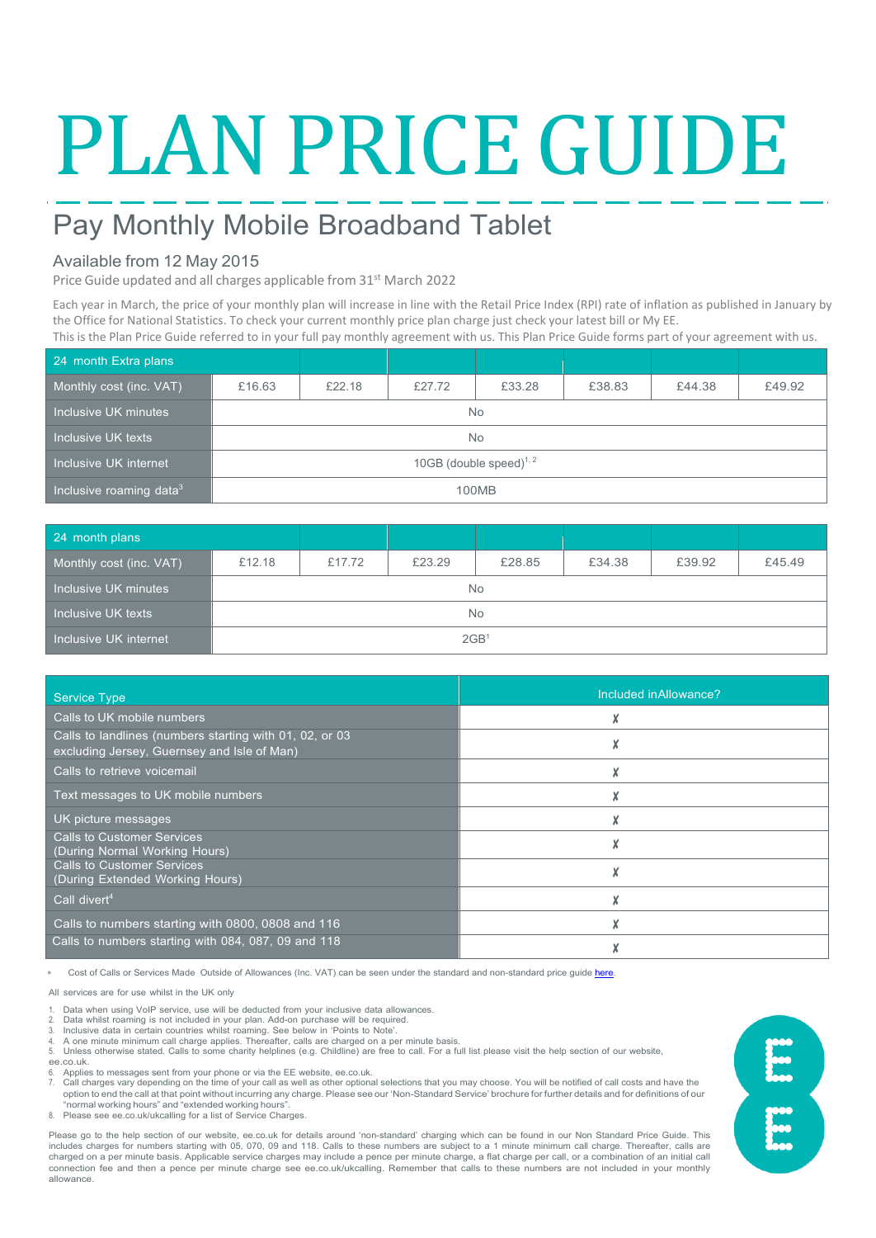# PLAN PRICE GUIDE

# Pay Monthly Mobile Broadband Tablet

### Available from 12 May 2015

Price Guide updated and all charges applicable from 31<sup>st</sup> March 2022

Each year in March, the price of your monthly plan will increase in line with the Retail Price Index (RPI) rate of inflation as published in January by the Office for National Statistics. To check your current monthly price plan charge just check your latest bill or My EE.

This is the Plan Price Guide referred to in your full pay monthly agreement with us. This Plan Price Guide forms part of your agreement with us.

| 24 month Extra plans                |                            |        |        |        |        |        |        |
|-------------------------------------|----------------------------|--------|--------|--------|--------|--------|--------|
| Monthly cost (inc. VAT)             | £16.63                     | £22.18 | £27.72 | £33.28 | £38.83 | £44.38 | £49.92 |
| Inclusive UK minutes                | <b>No</b>                  |        |        |        |        |        |        |
| Inclusive UK texts                  | <b>No</b>                  |        |        |        |        |        |        |
|                                     | 10GB (double speed) $1, 2$ |        |        |        |        |        |        |
| Inclusive roaming data <sup>3</sup> | 100MB                      |        |        |        |        |        |        |

| 24 month plans          |                  |        |        |        |        |        |        |
|-------------------------|------------------|--------|--------|--------|--------|--------|--------|
| Monthly cost (inc. VAT) | £12.18           | £17.72 | £23.29 | £28.85 | £34.38 | £39.92 | £45.49 |
| Inclusive UK minutes    | No.              |        |        |        |        |        |        |
| Inclusive UK texts      | <b>No</b>        |        |        |        |        |        |        |
| Inclusive UK internet   | 2GB <sup>1</sup> |        |        |        |        |        |        |

| <b>Service Type</b>                                                                                    | Included in Allowance? |
|--------------------------------------------------------------------------------------------------------|------------------------|
| Calls to UK mobile numbers                                                                             |                        |
| Calls to landlines (numbers starting with 01, 02, or 03<br>excluding Jersey, Guernsey and Isle of Man) |                        |
| Calls to retrieve voicemail                                                                            |                        |
| Text messages to UK mobile numbers                                                                     |                        |
| UK picture messages                                                                                    |                        |
| <b>Calls to Customer Services</b><br>(During Normal Working Hours)                                     |                        |
| <b>Calls to Customer Services</b><br>(During Extended Working Hours)                                   |                        |
| Call divert <sup>4</sup>                                                                               |                        |
| Calls to numbers starting with 0800, 0808 and 116                                                      |                        |
| Calls to numbers starting with 084, 087, 09 and 118                                                    |                        |

Cost of Calls or Services Made Outside of Allowances (Inc. VAT) can be seen under the standard and non-standard price guide here

All services are for use whilst in the UK only

1. Data when using VoIP service, use will be deducted from your inclusive data allowances. 2. Data whilst roaming is not included in your plan. Add-on purchase will be required.

3. Inclusive data in certain countries whilst roaming. See below in 'Points to Note'. 4. A one minute minimum call charge applies. Thereafter, calls are charged on a per minute basis.

5. Unless otherwise stated. Calls to some charity helplines (e.g. Childline) are free to call. For a full list please visit the help section of our website, ee.co.uk.

Applies to messages sent from your phone or via the EE website, ee.co.uk

7. Call charges vary depending on the time of your call as well as other optional selections that you may choose. You will be notified of call costs and have the<br>option to end the call at that point without incurring any "normal working hours" and "extended working hours".

8. Please see ee.co.uk/ukcalling for a list of Service Charges.

Please go to the help section of our website, ee.co.uk for details around 'non-standard' charging which can be found in our Non Standard Price Guide. This includes charges for numbers starting with 05, 070, 09 and 118. Calls to these numbers are subject to a 1 minute minimum call charge. Thereafter, calls are charged on a per minute basis. Applicable service charges may include a pence per minute charge, a flat charge per call, or a combination of an initial call connection fee and then a pence per minute charge see ee.co.uk/ukcalling. Remember that calls to these numbers are not included in your monthly allowance.